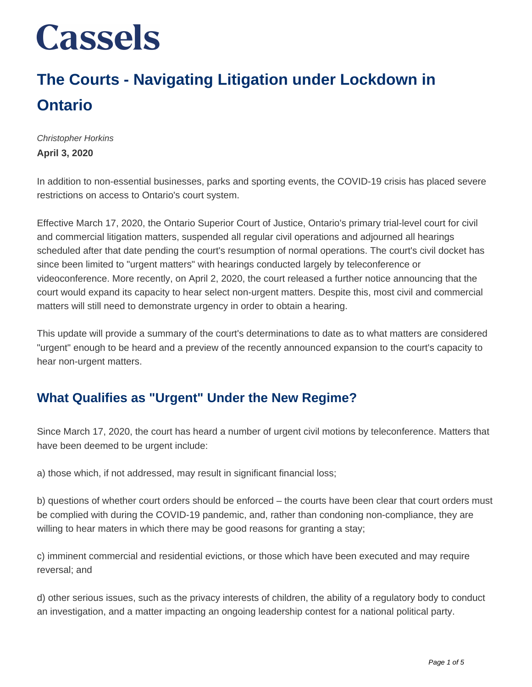### **The Courts - Navigating Litigation under Lockdown in Ontario**

Christopher Horkins **April 3, 2020**

In addition to non-essential businesses, parks and sporting events, the COVID-19 crisis has placed severe restrictions on access to Ontario's court system.

Effective March 17, 2020, the Ontario Superior Court of Justice, Ontario's primary trial-level court for civil and commercial litigation matters, suspended all regular civil operations and adjourned all hearings scheduled after that date pending the court's resumption of normal operations. The court's civil docket has since been limited to "urgent matters" with hearings conducted largely by teleconference or videoconference. More recently, on April 2, 2020, the court released a further notice announcing that the court would expand its capacity to hear select non-urgent matters. Despite this, most civil and commercial matters will still need to demonstrate urgency in order to obtain a hearing.

This update will provide a summary of the court's determinations to date as to what matters are considered "urgent" enough to be heard and a preview of the recently announced expansion to the court's capacity to hear non-urgent matters.

#### **What Qualifies as "Urgent" Under the New Regime?**

Since March 17, 2020, the court has heard a number of urgent civil motions by teleconference. Matters that have been deemed to be urgent include:

a) those which, if not addressed, may result in significant financial loss;

b) questions of whether court orders should be enforced – the courts have been clear that court orders must be complied with during the COVID-19 pandemic, and, rather than condoning non-compliance, they are willing to hear maters in which there may be good reasons for granting a stay;

c) imminent commercial and residential evictions, or those which have been executed and may require reversal; and

d) other serious issues, such as the privacy interests of children, the ability of a regulatory body to conduct an investigation, and a matter impacting an ongoing leadership contest for a national political party.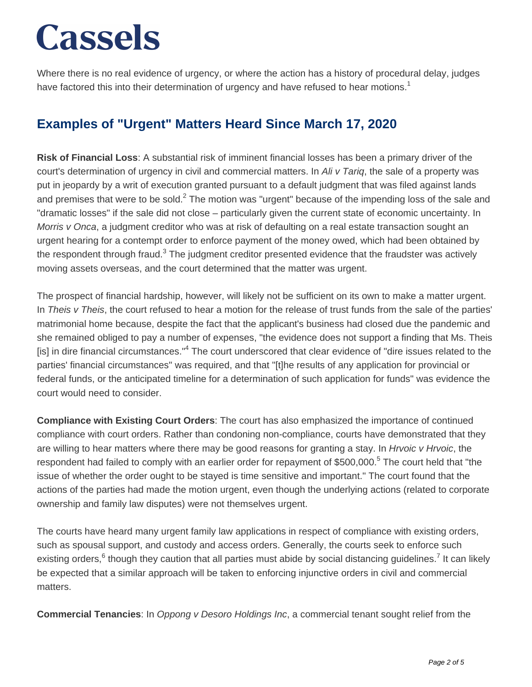Where there is no real evidence of urgency, or where the action has a history of procedural delay, judges have factored this into their determination of urgency and have refused to hear motions.<sup>1</sup>

#### **Examples of "Urgent" Matters Heard Since March 17, 2020**

**Risk of Financial Loss**: A substantial risk of imminent financial losses has been a primary driver of the court's determination of urgency in civil and commercial matters. In Ali v Tariq, the sale of a property was put in jeopardy by a writ of execution granted pursuant to a default judgment that was filed against lands and premises that were to be sold.<sup>2</sup> The motion was "urgent" because of the impending loss of the sale and "dramatic losses" if the sale did not close – particularly given the current state of economic uncertainty. In Morris v Onca, a judgment creditor who was at risk of defaulting on a real estate transaction sought an urgent hearing for a contempt order to enforce payment of the money owed, which had been obtained by the respondent through fraud.<sup>3</sup> The judgment creditor presented evidence that the fraudster was actively moving assets overseas, and the court determined that the matter was urgent.

The prospect of financial hardship, however, will likely not be sufficient on its own to make a matter urgent. In Theis v Theis, the court refused to hear a motion for the release of trust funds from the sale of the parties' matrimonial home because, despite the fact that the applicant's business had closed due the pandemic and she remained obliged to pay a number of expenses, "the evidence does not support a finding that Ms. Theis [is] in dire financial circumstances."<sup>4</sup> The court underscored that clear evidence of "dire issues related to the parties' financial circumstances" was required, and that "[t]he results of any application for provincial or federal funds, or the anticipated timeline for a determination of such application for funds" was evidence the court would need to consider.

**Compliance with Existing Court Orders**: The court has also emphasized the importance of continued compliance with court orders. Rather than condoning non-compliance, courts have demonstrated that they are willing to hear matters where there may be good reasons for granting a stay. In *Hrvoic v Hrvoic*, the respondent had failed to comply with an earlier order for repayment of \$500,000.<sup>5</sup> The court held that "the issue of whether the order ought to be stayed is time sensitive and important." The court found that the actions of the parties had made the motion urgent, even though the underlying actions (related to corporate ownership and family law disputes) were not themselves urgent.

The courts have heard many urgent family law applications in respect of compliance with existing orders, such as spousal support, and custody and access orders. Generally, the courts seek to enforce such existing orders,<sup>6</sup> though they caution that all parties must abide by social distancing guidelines.<sup>7</sup> It can likely be expected that a similar approach will be taken to enforcing injunctive orders in civil and commercial matters.

**Commercial Tenancies**: In Oppong v Desoro Holdings Inc, a commercial tenant sought relief from the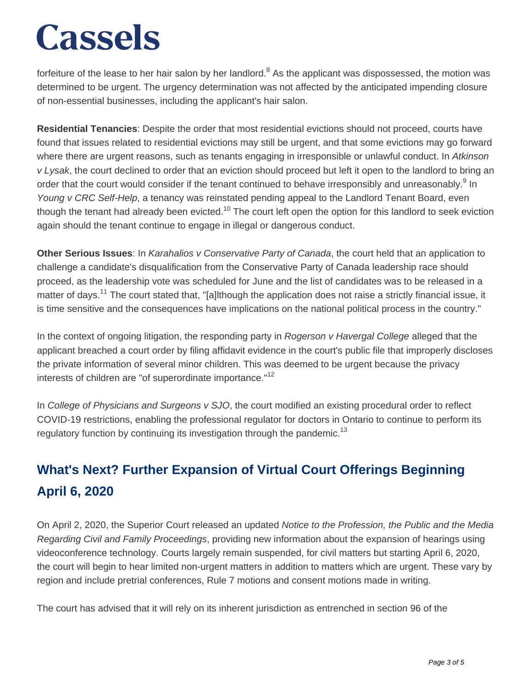forfeiture of the lease to her hair salon by her landlord. $^8$  As the applicant was dispossessed, the motion was determined to be urgent. The urgency determination was not affected by the anticipated impending closure of non-essential businesses, including the applicant's hair salon.

**Residential Tenancies**: Despite the order that most residential evictions should not proceed, courts have found that issues related to residential evictions may still be urgent, and that some evictions may go forward where there are urgent reasons, such as tenants engaging in irresponsible or unlawful conduct. In Atkinson v Lysak, the court declined to order that an eviction should proceed but left it open to the landlord to bring an order that the court would consider if the tenant continued to behave irresponsibly and unreasonably.<sup>9</sup> In Young v CRC Self-Help, a tenancy was reinstated pending appeal to the Landlord Tenant Board, even though the tenant had already been evicted.<sup>10</sup> The court left open the option for this landlord to seek eviction again should the tenant continue to engage in illegal or dangerous conduct.

**Other Serious Issues**: In Karahalios v Conservative Party of Canada, the court held that an application to challenge a candidate's disqualification from the Conservative Party of Canada leadership race should proceed, as the leadership vote was scheduled for June and the list of candidates was to be released in a matter of days.<sup>11</sup> The court stated that, "[a]lthough the application does not raise a strictly financial issue, it is time sensitive and the consequences have implications on the national political process in the country."

In the context of ongoing litigation, the responding party in Rogerson v Havergal College alleged that the applicant breached a court order by filing affidavit evidence in the court's public file that improperly discloses the private information of several minor children. This was deemed to be urgent because the privacy interests of children are "of superordinate importance."<sup>12</sup>

In College of Physicians and Surgeons v SJO, the court modified an existing procedural order to reflect COVID-19 restrictions, enabling the professional regulator for doctors in Ontario to continue to perform its regulatory function by continuing its investigation through the pandemic.<sup>13</sup>

### **What's Next? Further Expansion of Virtual Court Offerings Beginning April 6, 2020**

On April 2, 2020, the Superior Court released an updated Notice to the Profession, the Public and the Media Regarding Civil and Family Proceedings, providing new information about the expansion of hearings using videoconference technology. Courts largely remain suspended, for civil matters but starting April 6, 2020, the court will begin to hear limited non-urgent matters in addition to matters which are urgent. These vary by region and include pretrial conferences, Rule 7 motions and consent motions made in writing.

The court has advised that it will rely on its inherent jurisdiction as entrenched in section 96 of the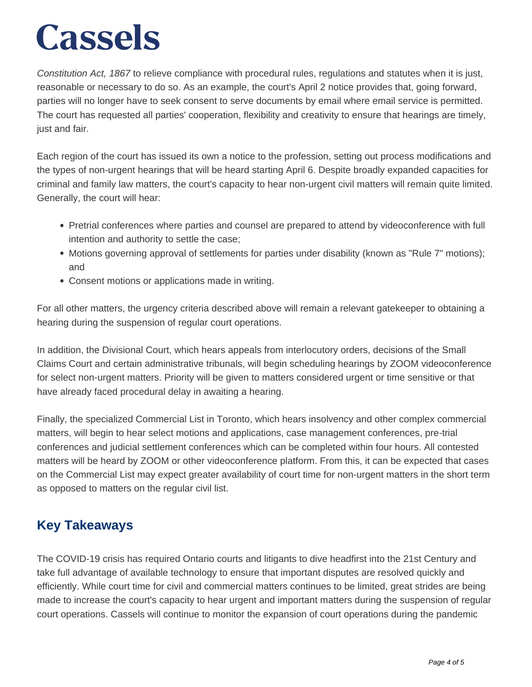Constitution Act, 1867 to relieve compliance with procedural rules, regulations and statutes when it is just, reasonable or necessary to do so. As an example, the court's April 2 notice provides that, going forward, parties will no longer have to seek consent to serve documents by email where email service is permitted. The court has requested all parties' cooperation, flexibility and creativity to ensure that hearings are timely, just and fair.

Each region of the court has issued its own a notice to the profession, setting out process modifications and the types of non-urgent hearings that will be heard starting April 6. Despite broadly expanded capacities for criminal and family law matters, the court's capacity to hear non-urgent civil matters will remain quite limited. Generally, the court will hear:

- Pretrial conferences where parties and counsel are prepared to attend by videoconference with full intention and authority to settle the case;
- Motions governing approval of settlements for parties under disability (known as "Rule 7" motions); and
- Consent motions or applications made in writing.

For all other matters, the urgency criteria described above will remain a relevant gatekeeper to obtaining a hearing during the suspension of regular court operations.

In addition, the Divisional Court, which hears appeals from interlocutory orders, decisions of the Small Claims Court and certain administrative tribunals, will begin scheduling hearings by ZOOM videoconference for select non-urgent matters. Priority will be given to matters considered urgent or time sensitive or that have already faced procedural delay in awaiting a hearing.

Finally, the specialized Commercial List in Toronto, which hears insolvency and other complex commercial matters, will begin to hear select motions and applications, case management conferences, pre-trial conferences and judicial settlement conferences which can be completed within four hours. All contested matters will be heard by ZOOM or other videoconference platform. From this, it can be expected that cases on the Commercial List may expect greater availability of court time for non-urgent matters in the short term as opposed to matters on the regular civil list.

#### **Key Takeaways**

The COVID-19 crisis has required Ontario courts and litigants to dive headfirst into the 21st Century and take full advantage of available technology to ensure that important disputes are resolved quickly and efficiently. While court time for civil and commercial matters continues to be limited, great strides are being made to increase the court's capacity to hear urgent and important matters during the suspension of regular court operations. Cassels will continue to monitor the expansion of court operations during the pandemic